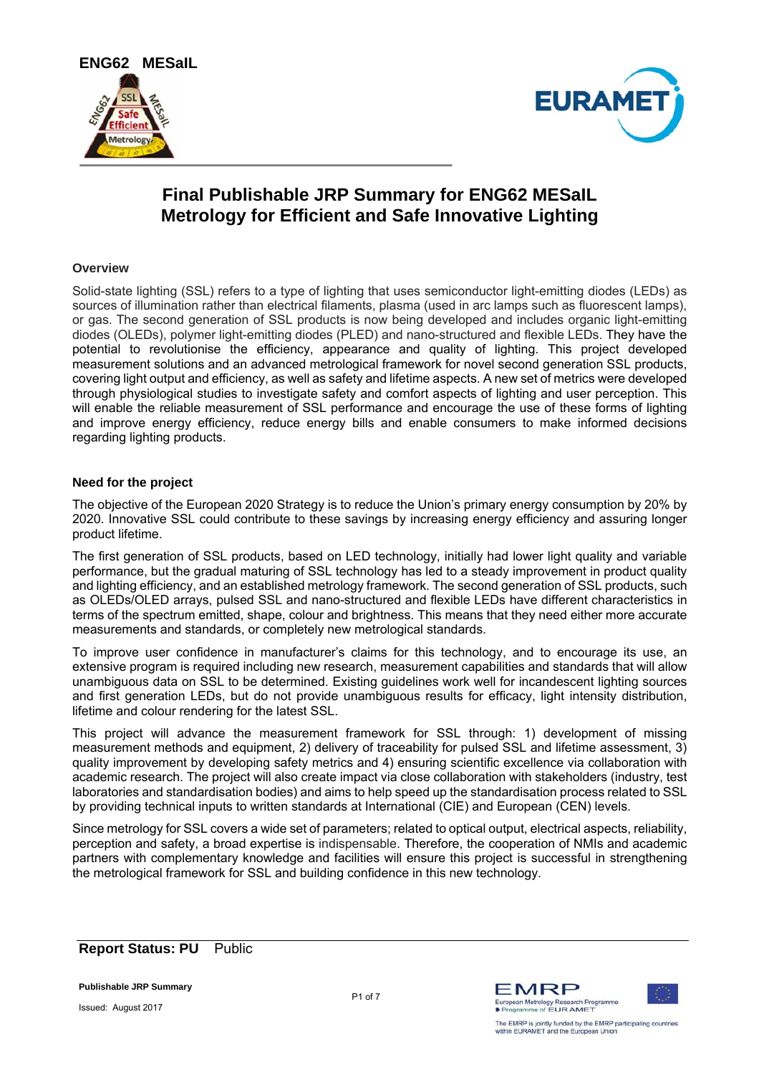



# **Final Publishable JRP Summary for ENG62 MESaIL Metrology for Efficient and Safe Innovative Lighting**

### **Overview**

Solid-state lighting (SSL) refers to a type of lighting that uses semiconductor light-emitting diodes (LEDs) as sources of illumination rather than electrical filaments, plasma (used in arc lamps such as fluorescent lamps), or gas. The second generation of SSL products is now being developed and includes organic light-emitting diodes (OLEDs), polymer light-emitting diodes (PLED) and nano-structured and flexible LEDs. They have the potential to revolutionise the efficiency, appearance and quality of lighting. This project developed measurement solutions and an advanced metrological framework for novel second generation SSL products, covering light output and efficiency, as well as safety and lifetime aspects. A new set of metrics were developed through physiological studies to investigate safety and comfort aspects of lighting and user perception. This will enable the reliable measurement of SSL performance and encourage the use of these forms of lighting and improve energy efficiency, reduce energy bills and enable consumers to make informed decisions regarding lighting products.

## **Need for the project**

The objective of the European 2020 Strategy is to reduce the Union's primary energy consumption by 20% by 2020. Innovative SSL could contribute to these savings by increasing energy efficiency and assuring longer product lifetime.

The first generation of SSL products, based on LED technology, initially had lower light quality and variable performance, but the gradual maturing of SSL technology has led to a steady improvement in product quality and lighting efficiency, and an established metrology framework. The second generation of SSL products, such as OLEDs/OLED arrays, pulsed SSL and nano-structured and flexible LEDs have different characteristics in terms of the spectrum emitted, shape, colour and brightness. This means that they need either more accurate measurements and standards, or completely new metrological standards.

To improve user confidence in manufacturer's claims for this technology, and to encourage its use, an extensive program is required including new research, measurement capabilities and standards that will allow unambiguous data on SSL to be determined. Existing guidelines work well for incandescent lighting sources and first generation LEDs, but do not provide unambiguous results for efficacy, light intensity distribution, lifetime and colour rendering for the latest SSL.

This project will advance the measurement framework for SSL through: 1) development of missing measurement methods and equipment, 2) delivery of traceability for pulsed SSL and lifetime assessment, 3) quality improvement by developing safety metrics and 4) ensuring scientific excellence via collaboration with academic research. The project will also create impact via close collaboration with stakeholders (industry, test laboratories and standardisation bodies) and aims to help speed up the standardisation process related to SSL by providing technical inputs to written standards at International (CIE) and European (CEN) levels.

Since metrology for SSL covers a wide set of parameters; related to optical output, electrical aspects, reliability, perception and safety, a broad expertise is indispensable. Therefore, the cooperation of NMIs and academic partners with complementary knowledge and facilities will ensure this project is successful in strengthening the metrological framework for SSL and building confidence in this new technology.

# **Report Status: PU** Public

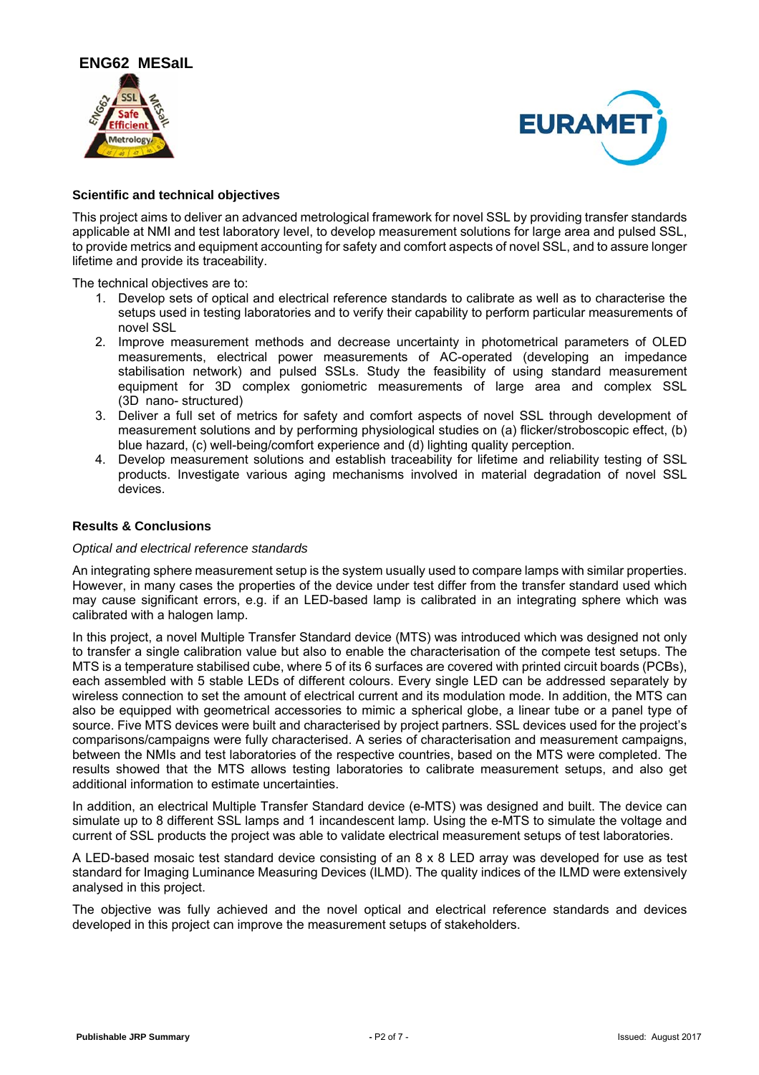



## **Scientific and technical objectives**

This project aims to deliver an advanced metrological framework for novel SSL by providing transfer standards applicable at NMI and test laboratory level, to develop measurement solutions for large area and pulsed SSL, to provide metrics and equipment accounting for safety and comfort aspects of novel SSL, and to assure longer lifetime and provide its traceability.

The technical objectives are to:

- 1. Develop sets of optical and electrical reference standards to calibrate as well as to characterise the setups used in testing laboratories and to verify their capability to perform particular measurements of novel SSL
- 2. Improve measurement methods and decrease uncertainty in photometrical parameters of OLED measurements, electrical power measurements of AC-operated (developing an impedance stabilisation network) and pulsed SSLs. Study the feasibility of using standard measurement equipment for 3D complex goniometric measurements of large area and complex SSL (3D nano- structured)
- 3. Deliver a full set of metrics for safety and comfort aspects of novel SSL through development of measurement solutions and by performing physiological studies on (a) flicker/stroboscopic effect, (b) blue hazard, (c) well-being/comfort experience and (d) lighting quality perception.
- 4. Develop measurement solutions and establish traceability for lifetime and reliability testing of SSL products. Investigate various aging mechanisms involved in material degradation of novel SSL devices.

### **Results & Conclusions**

#### *Optical and electrical reference standards*

An integrating sphere measurement setup is the system usually used to compare lamps with similar properties. However, in many cases the properties of the device under test differ from the transfer standard used which may cause significant errors, e.g. if an LED-based lamp is calibrated in an integrating sphere which was calibrated with a halogen lamp.

In this project, a novel Multiple Transfer Standard device (MTS) was introduced which was designed not only to transfer a single calibration value but also to enable the characterisation of the compete test setups. The MTS is a temperature stabilised cube, where 5 of its 6 surfaces are covered with printed circuit boards (PCBs), each assembled with 5 stable LEDs of different colours. Every single LED can be addressed separately by wireless connection to set the amount of electrical current and its modulation mode. In addition, the MTS can also be equipped with geometrical accessories to mimic a spherical globe, a linear tube or a panel type of source. Five MTS devices were built and characterised by project partners. SSL devices used for the project's comparisons/campaigns were fully characterised. A series of characterisation and measurement campaigns, between the NMIs and test laboratories of the respective countries, based on the MTS were completed. The results showed that the MTS allows testing laboratories to calibrate measurement setups, and also get additional information to estimate uncertainties.

In addition, an electrical Multiple Transfer Standard device (e-MTS) was designed and built. The device can simulate up to 8 different SSL lamps and 1 incandescent lamp. Using the e-MTS to simulate the voltage and current of SSL products the project was able to validate electrical measurement setups of test laboratories.

A LED-based mosaic test standard device consisting of an 8 x 8 LED array was developed for use as test standard for Imaging Luminance Measuring Devices (ILMD). The quality indices of the ILMD were extensively analysed in this project.

The objective was fully achieved and the novel optical and electrical reference standards and devices developed in this project can improve the measurement setups of stakeholders.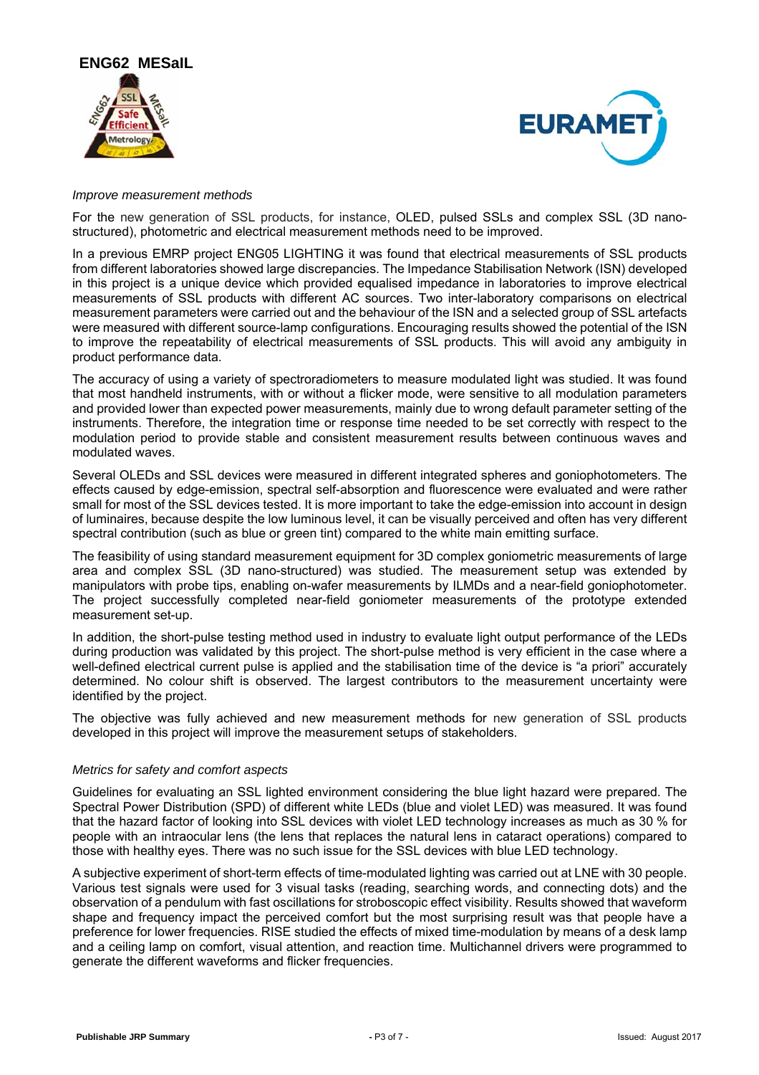



#### *Improve measurement methods*

For the new generation of SSL products, for instance, OLED, pulsed SSLs and complex SSL (3D nanostructured), photometric and electrical measurement methods need to be improved.

In a previous EMRP project ENG05 LIGHTING it was found that electrical measurements of SSL products from different laboratories showed large discrepancies. The Impedance Stabilisation Network (ISN) developed in this project is a unique device which provided equalised impedance in laboratories to improve electrical measurements of SSL products with different AC sources. Two inter-laboratory comparisons on electrical measurement parameters were carried out and the behaviour of the ISN and a selected group of SSL artefacts were measured with different source-lamp configurations. Encouraging results showed the potential of the ISN to improve the repeatability of electrical measurements of SSL products. This will avoid any ambiguity in product performance data.

The accuracy of using a variety of spectroradiometers to measure modulated light was studied. It was found that most handheld instruments, with or without a flicker mode, were sensitive to all modulation parameters and provided lower than expected power measurements, mainly due to wrong default parameter setting of the instruments. Therefore, the integration time or response time needed to be set correctly with respect to the modulation period to provide stable and consistent measurement results between continuous waves and modulated waves.

Several OLEDs and SSL devices were measured in different integrated spheres and goniophotometers. The effects caused by edge-emission, spectral self-absorption and fluorescence were evaluated and were rather small for most of the SSL devices tested. It is more important to take the edge-emission into account in design of luminaires, because despite the low luminous level, it can be visually perceived and often has very different spectral contribution (such as blue or green tint) compared to the white main emitting surface.

The feasibility of using standard measurement equipment for 3D complex goniometric measurements of large area and complex SSL (3D nano-structured) was studied. The measurement setup was extended by manipulators with probe tips, enabling on-wafer measurements by ILMDs and a near-field goniophotometer. The project successfully completed near-field goniometer measurements of the prototype extended measurement set-up.

In addition, the short-pulse testing method used in industry to evaluate light output performance of the LEDs during production was validated by this project. The short-pulse method is very efficient in the case where a well-defined electrical current pulse is applied and the stabilisation time of the device is "a priori" accurately determined. No colour shift is observed. The largest contributors to the measurement uncertainty were identified by the project.

The objective was fully achieved and new measurement methods for new generation of SSL products developed in this project will improve the measurement setups of stakeholders.

#### *Metrics for safety and comfort aspects*

Guidelines for evaluating an SSL lighted environment considering the blue light hazard were prepared. The Spectral Power Distribution (SPD) of different white LEDs (blue and violet LED) was measured. It was found that the hazard factor of looking into SSL devices with violet LED technology increases as much as 30 % for people with an intraocular lens (the lens that replaces the natural lens in cataract operations) compared to those with healthy eyes. There was no such issue for the SSL devices with blue LED technology.

A subjective experiment of short-term effects of time-modulated lighting was carried out at LNE with 30 people. Various test signals were used for 3 visual tasks (reading, searching words, and connecting dots) and the observation of a pendulum with fast oscillations for stroboscopic effect visibility. Results showed that waveform shape and frequency impact the perceived comfort but the most surprising result was that people have a preference for lower frequencies. RISE studied the effects of mixed time-modulation by means of a desk lamp and a ceiling lamp on comfort, visual attention, and reaction time. Multichannel drivers were programmed to generate the different waveforms and flicker frequencies.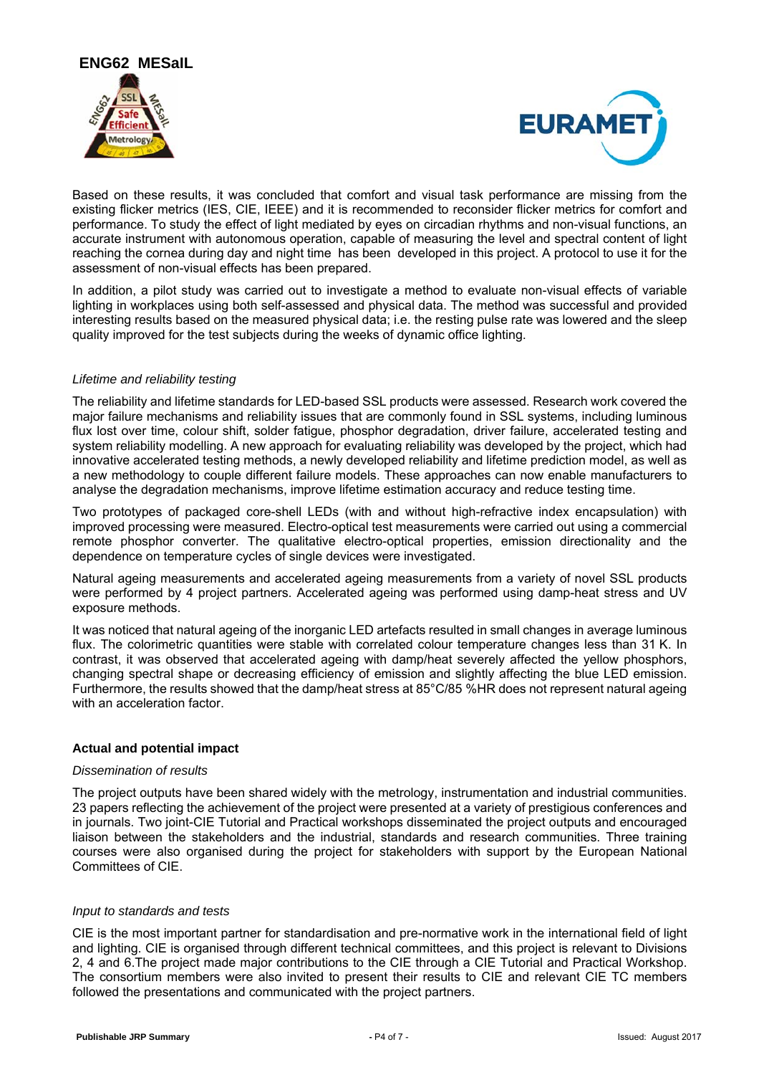



Based on these results, it was concluded that comfort and visual task performance are missing from the existing flicker metrics (IES, CIE, IEEE) and it is recommended to reconsider flicker metrics for comfort and performance. To study the effect of light mediated by eyes on circadian rhythms and non-visual functions, an accurate instrument with autonomous operation, capable of measuring the level and spectral content of light reaching the cornea during day and night time has been developed in this project. A protocol to use it for the assessment of non-visual effects has been prepared.

In addition, a pilot study was carried out to investigate a method to evaluate non-visual effects of variable lighting in workplaces using both self-assessed and physical data. The method was successful and provided interesting results based on the measured physical data; i.e. the resting pulse rate was lowered and the sleep quality improved for the test subjects during the weeks of dynamic office lighting.

## *Lifetime and reliability testing*

The reliability and lifetime standards for LED-based SSL products were assessed. Research work covered the major failure mechanisms and reliability issues that are commonly found in SSL systems, including luminous flux lost over time, colour shift, solder fatigue, phosphor degradation, driver failure, accelerated testing and system reliability modelling. A new approach for evaluating reliability was developed by the project, which had innovative accelerated testing methods, a newly developed reliability and lifetime prediction model, as well as a new methodology to couple different failure models. These approaches can now enable manufacturers to analyse the degradation mechanisms, improve lifetime estimation accuracy and reduce testing time.

Two prototypes of packaged core-shell LEDs (with and without high-refractive index encapsulation) with improved processing were measured. Electro-optical test measurements were carried out using a commercial remote phosphor converter. The qualitative electro-optical properties, emission directionality and the dependence on temperature cycles of single devices were investigated.

Natural ageing measurements and accelerated ageing measurements from a variety of novel SSL products were performed by 4 project partners. Accelerated ageing was performed using damp-heat stress and UV exposure methods.

It was noticed that natural ageing of the inorganic LED artefacts resulted in small changes in average luminous flux. The colorimetric quantities were stable with correlated colour temperature changes less than 31 K. In contrast, it was observed that accelerated ageing with damp/heat severely affected the yellow phosphors, changing spectral shape or decreasing efficiency of emission and slightly affecting the blue LED emission. Furthermore, the results showed that the damp/heat stress at 85°C/85 %HR does not represent natural ageing with an acceleration factor.

# **Actual and potential impact**

#### *Dissemination of results*

The project outputs have been shared widely with the metrology, instrumentation and industrial communities. 23 papers reflecting the achievement of the project were presented at a variety of prestigious conferences and in journals. Two joint-CIE Tutorial and Practical workshops disseminated the project outputs and encouraged liaison between the stakeholders and the industrial, standards and research communities. Three training courses were also organised during the project for stakeholders with support by the European National Committees of CIE.

#### *Input to standards and tests*

CIE is the most important partner for standardisation and pre-normative work in the international field of light and lighting. CIE is organised through different technical committees, and this project is relevant to Divisions 2, 4 and 6.The project made major contributions to the CIE through a CIE Tutorial and Practical Workshop. The consortium members were also invited to present their results to CIE and relevant CIE TC members followed the presentations and communicated with the project partners.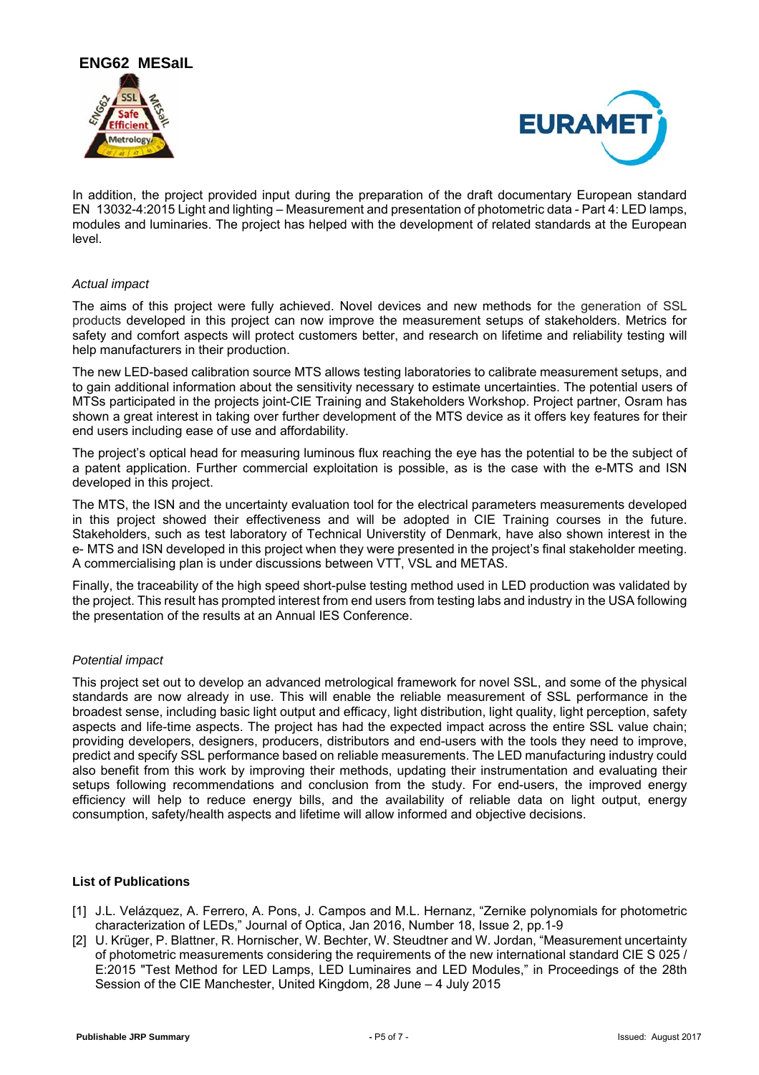



In addition, the project provided input during the preparation of the draft documentary European standard EN 13032-4:2015 Light and lighting – Measurement and presentation of photometric data - Part 4: LED lamps, modules and luminaries. The project has helped with the development of related standards at the European level.

## *Actual impact*

The aims of this project were fully achieved. Novel devices and new methods for the generation of SSL products developed in this project can now improve the measurement setups of stakeholders. Metrics for safety and comfort aspects will protect customers better, and research on lifetime and reliability testing will help manufacturers in their production.

The new LED-based calibration source MTS allows testing laboratories to calibrate measurement setups, and to gain additional information about the sensitivity necessary to estimate uncertainties. The potential users of MTSs participated in the projects joint-CIE Training and Stakeholders Workshop. Project partner, Osram has shown a great interest in taking over further development of the MTS device as it offers key features for their end users including ease of use and affordability.

The project's optical head for measuring luminous flux reaching the eye has the potential to be the subject of a patent application. Further commercial exploitation is possible, as is the case with the e-MTS and ISN developed in this project.

The MTS, the ISN and the uncertainty evaluation tool for the electrical parameters measurements developed in this project showed their effectiveness and will be adopted in CIE Training courses in the future. Stakeholders, such as test laboratory of Technical Universtity of Denmark, have also shown interest in the e- MTS and ISN developed in this project when they were presented in the project's final stakeholder meeting. A commercialising plan is under discussions between VTT, VSL and METAS.

Finally, the traceability of the high speed short-pulse testing method used in LED production was validated by the project. This result has prompted interest from end users from testing labs and industry in the USA following the presentation of the results at an Annual IES Conference.

# *Potential impact*

This project set out to develop an advanced metrological framework for novel SSL, and some of the physical standards are now already in use. This will enable the reliable measurement of SSL performance in the broadest sense, including basic light output and efficacy, light distribution, light quality, light perception, safety aspects and life-time aspects. The project has had the expected impact across the entire SSL value chain; providing developers, designers, producers, distributors and end-users with the tools they need to improve, predict and specify SSL performance based on reliable measurements. The LED manufacturing industry could also benefit from this work by improving their methods, updating their instrumentation and evaluating their setups following recommendations and conclusion from the study. For end-users, the improved energy efficiency will help to reduce energy bills, and the availability of reliable data on light output, energy consumption, safety/health aspects and lifetime will allow informed and objective decisions.

#### **List of Publications**

- [1] J.L. Velázquez, A. Ferrero, A. Pons, J. Campos and M.L. Hernanz. "Zernike polynomials for photometric characterization of LEDs," Journal of Optica, Jan 2016, Number 18, Issue 2, pp.1-9
- [2] U. Krüger, P. Blattner, R. Hornischer, W. Bechter, W. Steudtner and W. Jordan, "Measurement uncertainty of photometric measurements considering the requirements of the new international standard CIE S 025 / E:2015 "Test Method for LED Lamps, LED Luminaires and LED Modules," in Proceedings of the 28th Session of the CIE Manchester, United Kingdom, 28 June – 4 July 2015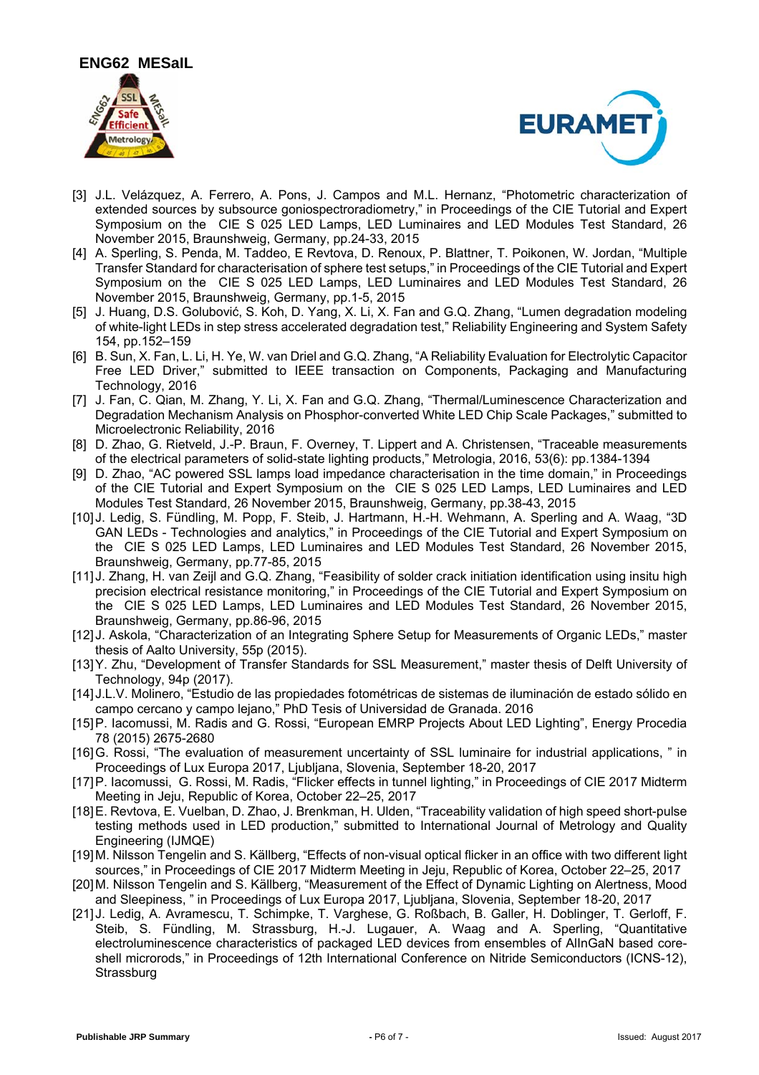



- [3] J.L. Velázquez, A. Ferrero, A. Pons, J. Campos and M.L. Hernanz, "Photometric characterization of extended sources by subsource goniospectroradiometry," in Proceedings of the CIE Tutorial and Expert Symposium on the CIE S 025 LED Lamps, LED Luminaires and LED Modules Test Standard, 26 November 2015, Braunshweig, Germany, pp.24-33, 2015
- [4] A. Sperling, S. Penda, M. Taddeo, E Revtova, D. Renoux, P. Blattner, T. Poikonen, W. Jordan, "Multiple Transfer Standard for characterisation of sphere test setups," in Proceedings of the CIE Tutorial and Expert Symposium on the CIE S 025 LED Lamps, LED Luminaires and LED Modules Test Standard, 26 November 2015, Braunshweig, Germany, pp.1-5, 2015
- [5] J. Huang, D.S. Golubović, S. Koh, D. Yang, X. Li, X. Fan and G.Q. Zhang, "Lumen degradation modeling of white-light LEDs in step stress accelerated degradation test," Reliability Engineering and System Safety 154, pp.152–159
- [6] B. Sun, X. Fan, L. Li, H. Ye, W. van Driel and G.Q. Zhang, "A Reliability Evaluation for Electrolytic Capacitor Free LED Driver," submitted to IEEE transaction on Components, Packaging and Manufacturing Technology, 2016
- [7] J. Fan, C. Qian, M. Zhang, Y. Li, X. Fan and G.Q. Zhang, "Thermal/Luminescence Characterization and Degradation Mechanism Analysis on Phosphor-converted White LED Chip Scale Packages," submitted to Microelectronic Reliability, 2016
- [8] D. Zhao, G. Rietveld, J.-P. Braun, F. Overney, T. Lippert and A. Christensen, "Traceable measurements of the electrical parameters of solid-state lighting products," Metrologia, 2016, 53(6): pp.1384-1394
- [9] D. Zhao, "AC powered SSL lamps load impedance characterisation in the time domain," in Proceedings of the CIE Tutorial and Expert Symposium on the CIE S 025 LED Lamps, LED Luminaires and LED Modules Test Standard, 26 November 2015, Braunshweig, Germany, pp.38-43, 2015
- [10] J. Ledig, S. Fündling, M. Popp, F. Steib, J. Hartmann, H.-H. Wehmann, A. Sperling and A. Waag, "3D GAN LEDs - Technologies and analytics," in Proceedings of the CIE Tutorial and Expert Symposium on the CIE S 025 LED Lamps, LED Luminaires and LED Modules Test Standard, 26 November 2015, Braunshweig, Germany, pp.77-85, 2015
- [11] J. Zhang, H. van Zeijl and G.Q. Zhang, "Feasibility of solder crack initiation identification using insitu high precision electrical resistance monitoring," in Proceedings of the CIE Tutorial and Expert Symposium on the CIE S 025 LED Lamps, LED Luminaires and LED Modules Test Standard, 26 November 2015, Braunshweig, Germany, pp.86-96, 2015
- [12] J. Askola, "Characterization of an Integrating Sphere Setup for Measurements of Organic LEDs," master thesis of Aalto University, 55p (2015).
- [13] Y. Zhu, "Development of Transfer Standards for SSL Measurement," master thesis of Delft University of Technology, 94p (2017).
- [14] J.L.V. Molinero, "Estudio de las propiedades fotométricas de sistemas de iluminación de estado sólido en campo cercano y campo lejano," PhD Tesis of Universidad de Granada. 2016
- [15] P. Iacomussi, M. Radis and G. Rossi, "European EMRP Projects About LED Lighting", Energy Procedia 78 (2015) 2675-2680
- [16] G. Rossi, "The evaluation of measurement uncertainty of SSL luminaire for industrial applications, " in Proceedings of Lux Europa 2017, Ljubljana, Slovenia, September 18-20, 2017
- [17] P. Iacomussi, G. Rossi, M. Radis, "Flicker effects in tunnel lighting," in Proceedings of CIE 2017 Midterm Meeting in Jeju, Republic of Korea, October 22–25, 2017
- [18] E. Revtova, E. Vuelban, D. Zhao, J. Brenkman, H. Ulden, "Traceability validation of high speed short-pulse testing methods used in LED production," submitted to International Journal of Metrology and Quality Engineering (IJMQE)
- [19] M. Nilsson Tengelin and S. Källberg, "Effects of non-visual optical flicker in an office with two different light sources," in Proceedings of CIE 2017 Midterm Meeting in Jeju, Republic of Korea, October 22–25, 2017
- [20] M. Nilsson Tengelin and S. Källberg, "Measurement of the Effect of Dynamic Lighting on Alertness, Mood and Sleepiness, " in Proceedings of Lux Europa 2017, Ljubljana, Slovenia, September 18-20, 2017
- [21] J. Ledig, A. Avramescu, T. Schimpke, T. Varghese, G. Roßbach, B. Galler, H. Doblinger, T. Gerloff, F. Steib, S. Fündling, M. Strassburg, H.-J. Lugauer, A. Waag and A. Sperling, "Quantitative electroluminescence characteristics of packaged LED devices from ensembles of AlInGaN based coreshell microrods," in Proceedings of 12th International Conference on Nitride Semiconductors (ICNS-12), **Strassburg**